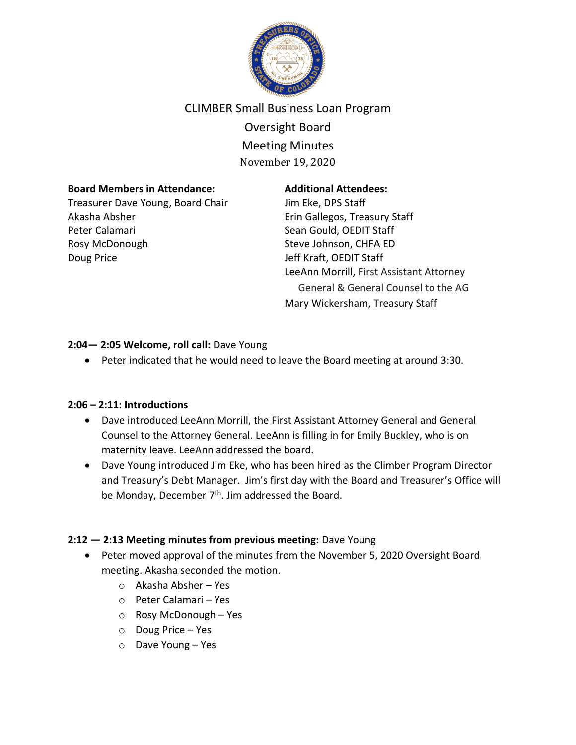

# CLIMBER Small Business Loan Program Oversight Board Meeting Minutes November 19, 2020

#### **Board Members in Attendance:**

Treasurer Dave Young, Board Chair Akasha Absher Peter Calamari Rosy McDonough Doug Price

#### **Additional Attendees:**

Jim Eke, DPS Staff Erin Gallegos, Treasury Staff Sean Gould, OEDIT Staff Steve Johnson, CHFA ED Jeff Kraft, OEDIT Staff LeeAnn Morrill, First Assistant Attorney General & General Counsel to the AG Mary Wickersham, Treasury Staff

## **2:04— 2:05 Welcome, roll call:** Dave Young

• Peter indicated that he would need to leave the Board meeting at around 3:30.

## **2:06 – 2:11: Introductions**

- Dave introduced LeeAnn Morrill, the First Assistant Attorney General and General Counsel to the Attorney General. LeeAnn is filling in for Emily Buckley, who is on maternity leave. LeeAnn addressed the board.
- Dave Young introduced Jim Eke, who has been hired as the Climber Program Director and Treasury's Debt Manager. Jim's first day with the Board and Treasurer's Office will be Monday, December 7<sup>th</sup>. Jim addressed the Board.

## **2:12 — 2:13 Meeting minutes from previous meeting:** Dave Young

- Peter moved approval of the minutes from the November 5, 2020 Oversight Board meeting. Akasha seconded the motion.
	- o Akasha Absher Yes
	- o Peter Calamari Yes
	- o Rosy McDonough Yes
	- o Doug Price Yes
	- o Dave Young Yes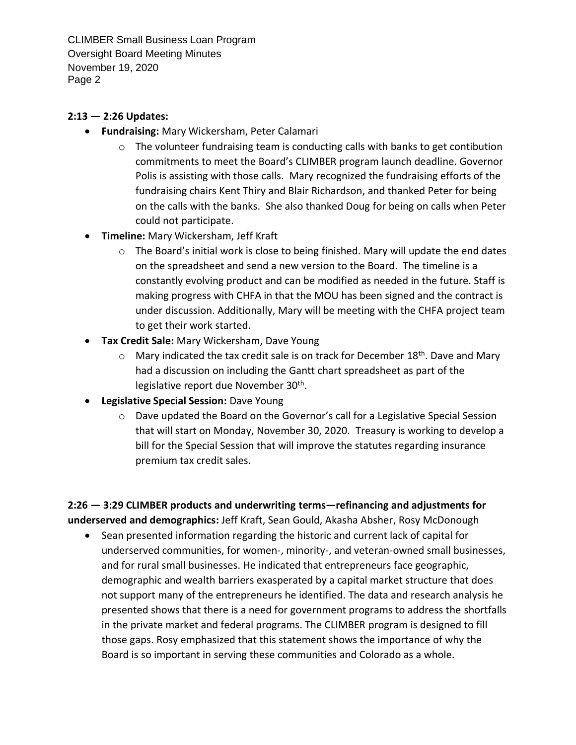CLIMBER Small Business Loan Program Oversight Board Meeting Minutes November 19, 2020 Page 2

#### **2:13 — 2:26 Updates:**

- **Fundraising:** Mary Wickersham, Peter Calamari
	- $\circ$  The volunteer fundraising team is conducting calls with banks to get contibution commitments to meet the Board's CLIMBER program launch deadline. Governor Polis is assisting with those calls. Mary recognized the fundraising efforts of the fundraising chairs Kent Thiry and Blair Richardson, and thanked Peter for being on the calls with the banks. She also thanked Doug for being on calls when Peter could not participate.
- **Timeline:** Mary Wickersham, Jeff Kraft
	- $\circ$  The Board's initial work is close to being finished. Mary will update the end dates on the spreadsheet and send a new version to the Board. The timeline is a constantly evolving product and can be modified as needed in the future. Staff is making progress with CHFA in that the MOU has been signed and the contract is under discussion. Additionally, Mary will be meeting with the CHFA project team to get their work started.
- **Tax Credit Sale:** Mary Wickersham, Dave Young
	- $\circ$  Mary indicated the tax credit sale is on track for December 18<sup>th</sup>. Dave and Mary had a discussion on including the Gantt chart spreadsheet as part of the legislative report due November 30<sup>th</sup>.
- **Legislative Special Session:** Dave Young
	- $\circ$  Dave updated the Board on the Governor's call for a Legislative Special Session that will start on Monday, November 30, 2020. Treasury is working to develop a bill for the Special Session that will improve the statutes regarding insurance premium tax credit sales.

**2:26 — 3:29 CLIMBER products and underwriting terms—refinancing and adjustments for underserved and demographics:** Jeff Kraft, Sean Gould, Akasha Absher, Rosy McDonough

• Sean presented information regarding the historic and current lack of capital for underserved communities, for women-, minority-, and veteran-owned small businesses, and for rural small businesses. He indicated that entrepreneurs face geographic, demographic and wealth barriers exasperated by a capital market structure that does not support many of the entrepreneurs he identified. The data and research analysis he presented shows that there is a need for government programs to address the shortfalls in the private market and federal programs. The CLIMBER program is designed to fill those gaps. Rosy emphasized that this statement shows the importance of why the Board is so important in serving these communities and Colorado as a whole.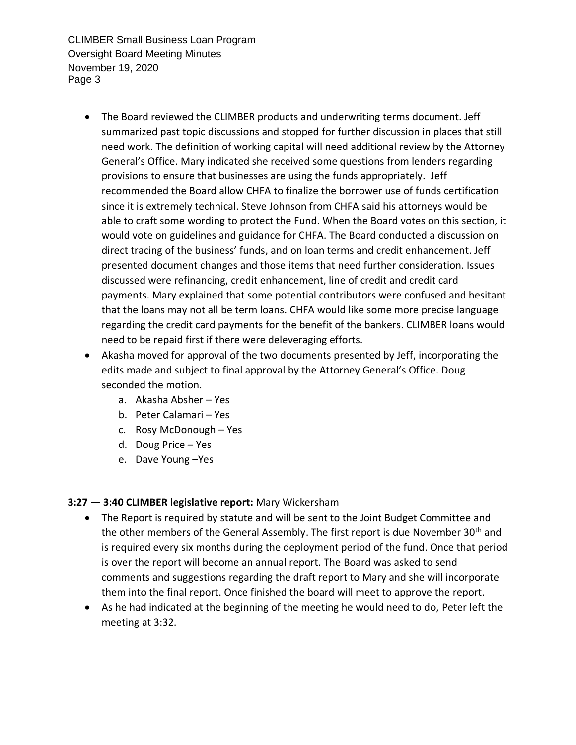CLIMBER Small Business Loan Program Oversight Board Meeting Minutes November 19, 2020 Page 3

- The Board reviewed the CLIMBER products and underwriting terms document. Jeff summarized past topic discussions and stopped for further discussion in places that still need work. The definition of working capital will need additional review by the Attorney General's Office. Mary indicated she received some questions from lenders regarding provisions to ensure that businesses are using the funds appropriately. Jeff recommended the Board allow CHFA to finalize the borrower use of funds certification since it is extremely technical. Steve Johnson from CHFA said his attorneys would be able to craft some wording to protect the Fund. When the Board votes on this section, it would vote on guidelines and guidance for CHFA. The Board conducted a discussion on direct tracing of the business' funds, and on loan terms and credit enhancement. Jeff presented document changes and those items that need further consideration. Issues discussed were refinancing, credit enhancement, line of credit and credit card payments. Mary explained that some potential contributors were confused and hesitant that the loans may not all be term loans. CHFA would like some more precise language regarding the credit card payments for the benefit of the bankers. CLIMBER loans would need to be repaid first if there were deleveraging efforts.
- Akasha moved for approval of the two documents presented by Jeff, incorporating the edits made and subject to final approval by the Attorney General's Office. Doug seconded the motion.
	- a. Akasha Absher Yes
	- b. Peter Calamari Yes
	- c. Rosy McDonough Yes
	- d. Doug Price Yes
	- e. Dave Young –Yes

## **3:27 — 3:40 CLIMBER legislative report:** Mary Wickersham

- The Report is required by statute and will be sent to the Joint Budget Committee and the other members of the General Assembly. The first report is due November 30<sup>th</sup> and is required every six months during the deployment period of the fund. Once that period is over the report will become an annual report. The Board was asked to send comments and suggestions regarding the draft report to Mary and she will incorporate them into the final report. Once finished the board will meet to approve the report.
- As he had indicated at the beginning of the meeting he would need to do, Peter left the meeting at 3:32.